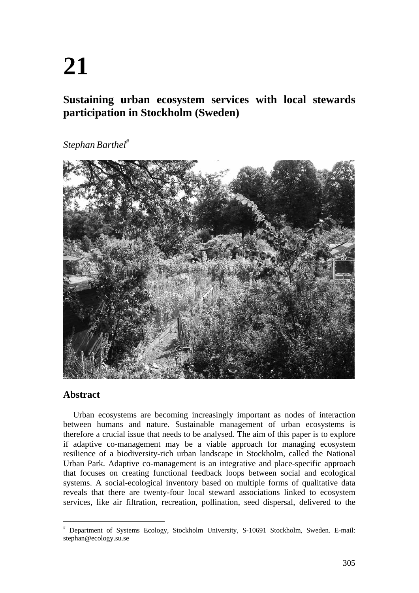# **21**

# **Sustaining urban ecosystem services with local stewards participation in Stockholm (Sweden)**

*Stephan Barthel*



# **Abstract**

Urban ecosystems are becoming increasingly important as nodes of interaction between humans and nature. Sustainable management of urban ecosystems is therefore a crucial issue that needs to be analysed. The aim of this paper is to explore if adaptive co-management may be a viable approach for managing ecosystem resilience of a biodiversity-rich urban landscape in Stockholm, called the National Urban Park. Adaptive co-management is an integrative and place-specific approach that focuses on creating functional feedback loops between social and ecological systems. A social-ecological inventory based on multiple forms of qualitative data reveals that there are twenty-four local steward associations linked to ecosystem services, like air filtration, recreation, pollination, seed dispersal, delivered to the

 $#$  Department of Systems Ecology, Stockholm University, S-10691 Stockholm, Sweden. E-mail: stephan@ecology.su.se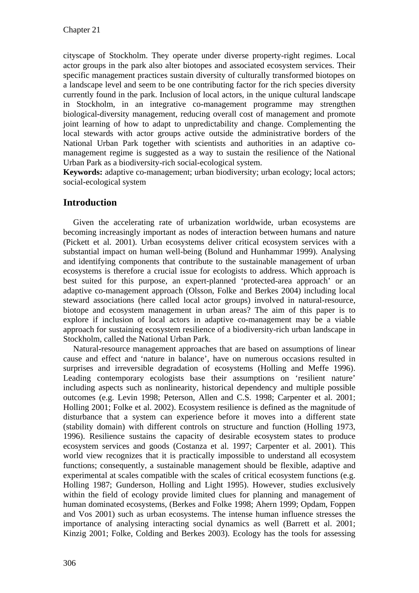cityscape of Stockholm. They operate under diverse property-right regimes. Local actor groups in the park also alter biotopes and associated ecosystem services. Their specific management practices sustain diversity of culturally transformed biotopes on a landscape level and seem to be one contributing factor for the rich species diversity currently found in the park. Inclusion of local actors, in the unique cultural landscape in Stockholm, in an integrative co-management programme may strengthen biological-diversity management, reducing overall cost of management and promote joint learning of how to adapt to unpredictability and change. Complementing the local stewards with actor groups active outside the administrative borders of the National Urban Park together with scientists and authorities in an adaptive comanagement regime is suggested as a way to sustain the resilience of the National Urban Park as a biodiversity-rich social-ecological system.

**Keywords:** adaptive co-management; urban biodiversity; urban ecology; local actors; social-ecological system

# **Introduction**

Given the accelerating rate of urbanization worldwide, urban ecosystems are becoming increasingly important as nodes of interaction between humans and nature (Pickett et al. 2001). Urban ecosystems deliver critical ecosystem services with a substantial impact on human well-being (Bolund and Hunhammar 1999). Analysing and identifying components that contribute to the sustainable management of urban ecosystems is therefore a crucial issue for ecologists to address. Which approach is best suited for this purpose, an expert-planned 'protected-area approach' or an adaptive co-management approach (Olsson, Folke and Berkes 2004) including local steward associations (here called local actor groups) involved in natural-resource, biotope and ecosystem management in urban areas? The aim of this paper is to explore if inclusion of local actors in adaptive co-management may be a viable approach for sustaining ecosystem resilience of a biodiversity-rich urban landscape in Stockholm, called the National Urban Park.

Natural-resource management approaches that are based on assumptions of linear cause and effect and 'nature in balance', have on numerous occasions resulted in surprises and irreversible degradation of ecosystems (Holling and Meffe 1996). Leading contemporary ecologists base their assumptions on 'resilient nature' including aspects such as nonlinearity, historical dependency and multiple possible outcomes (e.g. Levin 1998; Peterson, Allen and C.S. 1998; Carpenter et al. 2001; Holling 2001; Folke et al. 2002). Ecosystem resilience is defined as the magnitude of disturbance that a system can experience before it moves into a different state (stability domain) with different controls on structure and function (Holling 1973, 1996). Resilience sustains the capacity of desirable ecosystem states to produce ecosystem services and goods (Costanza et al. 1997; Carpenter et al. 2001). This world view recognizes that it is practically impossible to understand all ecosystem functions; consequently, a sustainable management should be flexible, adaptive and experimental at scales compatible with the scales of critical ecosystem functions (e.g. Holling 1987; Gunderson, Holling and Light 1995). However, studies exclusively within the field of ecology provide limited clues for planning and management of human dominated ecosystems, (Berkes and Folke 1998; Ahern 1999; Opdam, Foppen and Vos 2001) such as urban ecosystems. The intense human influence stresses the importance of analysing interacting social dynamics as well (Barrett et al. 2001; Kinzig 2001; Folke, Colding and Berkes 2003). Ecology has the tools for assessing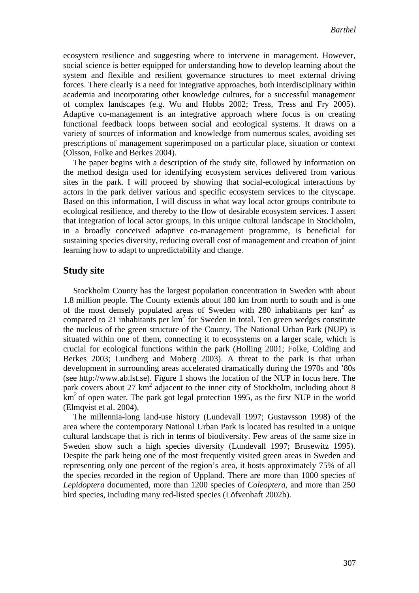ecosystem resilience and suggesting where to intervene in management. However, social science is better equipped for understanding how to develop learning about the system and flexible and resilient governance structures to meet external driving forces. There clearly is a need for integrative approaches, both interdisciplinary within academia and incorporating other knowledge cultures, for a successful management of complex landscapes (e.g. Wu and Hobbs 2002; Tress, Tress and Fry 2005). Adaptive co-management is an integrative approach where focus is on creating functional feedback loops between social and ecological systems. It draws on a variety of sources of information and knowledge from numerous scales, avoiding set prescriptions of management superimposed on a particular place, situation or context (Olsson, Folke and Berkes 2004).

The paper begins with a description of the study site, followed by information on the method design used for identifying ecosystem services delivered from various sites in the park. I will proceed by showing that social-ecological interactions by actors in the park deliver various and specific ecosystem services to the cityscape. Based on this information, I will discuss in what way local actor groups contribute to ecological resilience, and thereby to the flow of desirable ecosystem services. I assert that integration of local actor groups, in this unique cultural landscape in Stockholm, in a broadly conceived adaptive co-management programme, is beneficial for sustaining species diversity, reducing overall cost of management and creation of joint learning how to adapt to unpredictability and change.

#### **Study site**

Stockholm County has the largest population concentration in Sweden with about 1.8 million people. The County extends about 180 km from north to south and is one of the most densely populated areas of Sweden with 280 inhabitants per  $km<sup>2</sup>$  as compared to 21 inhabitants per  $km^2$  for Sweden in total. Ten green wedges constitute the nucleus of the green structure of the County. The National Urban Park (NUP) is situated within one of them, connecting it to ecosystems on a larger scale, which is crucial for ecological functions within the park (Holling 2001; Folke, Colding and Berkes 2003; Lundberg and Moberg 2003). A threat to the park is that urban development in surrounding areas accelerated dramatically during the 1970s and '80s (see http://www.ab.lst.se). Figure 1 shows the location of the NUP in focus here. The park covers about 27  $km^2$  adjacent to the inner city of Stockholm, including about 8  $km<sup>2</sup>$  of open water. The park got legal protection 1995, as the first NUP in the world (Elmqvist et al. 2004).

The millennia-long land-use history (Lundevall 1997; Gustavsson 1998) of the area where the contemporary National Urban Park is located has resulted in a unique cultural landscape that is rich in terms of biodiversity. Few areas of the same size in Sweden show such a high species diversity (Lundevall 1997; Brusewitz 1995). Despite the park being one of the most frequently visited green areas in Sweden and representing only one percent of the region's area, it hosts approximately 75% of all the species recorded in the region of Uppland. There are more than 1000 species of *Lepidoptera* documented, more than 1200 species of *Coleoptera*, and more than 250 bird species, including many red-listed species (Löfvenhaft 2002b).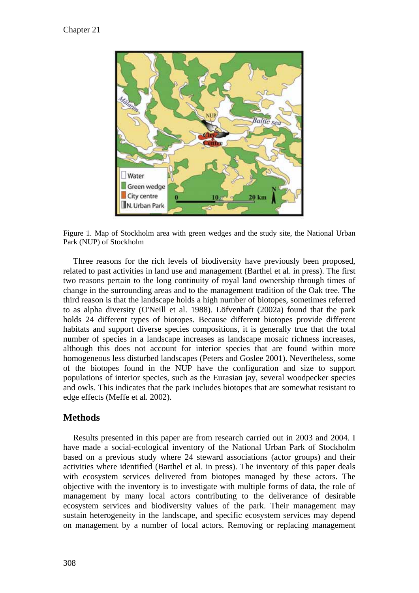

Figure 1. Map of Stockholm area with green wedges and the study site, the National Urban Park (NUP) of Stockholm

Three reasons for the rich levels of biodiversity have previously been proposed, related to past activities in land use and management (Barthel et al. in press). The first two reasons pertain to the long continuity of royal land ownership through times of change in the surrounding areas and to the management tradition of the Oak tree. The third reason is that the landscape holds a high number of biotopes, sometimes referred to as alpha diversity (O'Neill et al. 1988). Löfvenhaft (2002a) found that the park holds 24 different types of biotopes. Because different biotopes provide different habitats and support diverse species compositions, it is generally true that the total number of species in a landscape increases as landscape mosaic richness increases, although this does not account for interior species that are found within more homogeneous less disturbed landscapes (Peters and Goslee 2001). Nevertheless, some of the biotopes found in the NUP have the configuration and size to support populations of interior species, such as the Eurasian jay, several woodpecker species and owls. This indicates that the park includes biotopes that are somewhat resistant to edge effects (Meffe et al. 2002).

### **Methods**

Results presented in this paper are from research carried out in 2003 and 2004. I have made a social-ecological inventory of the National Urban Park of Stockholm based on a previous study where 24 steward associations (actor groups) and their activities where identified (Barthel et al. in press). The inventory of this paper deals with ecosystem services delivered from biotopes managed by these actors. The objective with the inventory is to investigate with multiple forms of data, the role of management by many local actors contributing to the deliverance of desirable ecosystem services and biodiversity values of the park. Their management may sustain heterogeneity in the landscape, and specific ecosystem services may depend on management by a number of local actors. Removing or replacing management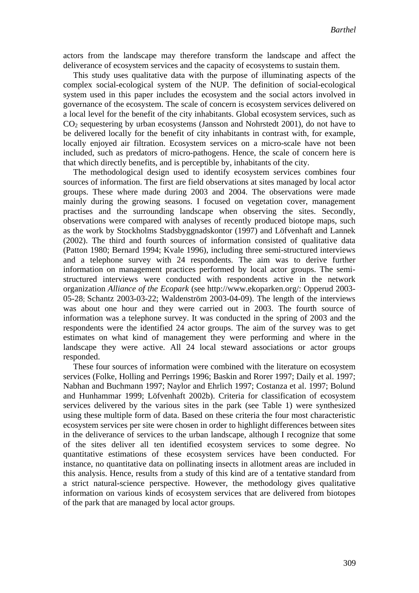actors from the landscape may therefore transform the landscape and affect the deliverance of ecosystem services and the capacity of ecosystems to sustain them.

This study uses qualitative data with the purpose of illuminating aspects of the complex social-ecological system of the NUP. The definition of social-ecological system used in this paper includes the ecosystem and the social actors involved in governance of the ecosystem. The scale of concern is ecosystem services delivered on a local level for the benefit of the city inhabitants. Global ecosystem services, such as CO2 sequestering by urban ecosystems (Jansson and Nohrstedt 2001), do not have to be delivered locally for the benefit of city inhabitants in contrast with, for example, locally enjoyed air filtration. Ecosystem services on a micro-scale have not been included, such as predators of micro-pathogens. Hence, the scale of concern here is that which directly benefits, and is perceptible by, inhabitants of the city.

The methodological design used to identify ecosystem services combines four sources of information. The first are field observations at sites managed by local actor groups. These where made during 2003 and 2004. The observations were made mainly during the growing seasons. I focused on vegetation cover, management practises and the surrounding landscape when observing the sites. Secondly, observations were compared with analyses of recently produced biotope maps, such as the work by Stockholms Stadsbyggnadskontor (1997) and Löfvenhaft and Lannek (2002). The third and fourth sources of information consisted of qualitative data (Patton 1980; Bernard 1994; Kvale 1996), including three semi-structured interviews and a telephone survey with 24 respondents. The aim was to derive further information on management practices performed by local actor groups. The semistructured interviews were conducted with respondents active in the network organization *Alliance of the Ecopark* (see http://www.ekoparken.org/: Opperud 2003- 05-28; Schantz 2003-03-22; Waldenström 2003-04-09). The length of the interviews was about one hour and they were carried out in 2003. The fourth source of information was a telephone survey. It was conducted in the spring of 2003 and the respondents were the identified 24 actor groups. The aim of the survey was to get estimates on what kind of management they were performing and where in the landscape they were active. All 24 local steward associations or actor groups responded.

These four sources of information were combined with the literature on ecosystem services (Folke, Holling and Perrings 1996; Baskin and Rorer 1997; Daily et al. 1997; Nabhan and Buchmann 1997; Naylor and Ehrlich 1997; Costanza et al. 1997; Bolund and Hunhammar 1999; Löfvenhaft 2002b). Criteria for classification of ecosystem services delivered by the various sites in the park (see Table 1) were synthesized using these multiple form of data. Based on these criteria the four most characteristic ecosystem services per site were chosen in order to highlight differences between sites in the deliverance of services to the urban landscape, although I recognize that some of the sites deliver all ten identified ecosystem services to some degree. No quantitative estimations of these ecosystem services have been conducted. For instance, no quantitative data on pollinating insects in allotment areas are included in this analysis. Hence, results from a study of this kind are of a tentative standard from a strict natural-science perspective. However, the methodology gives qualitative information on various kinds of ecosystem services that are delivered from biotopes of the park that are managed by local actor groups.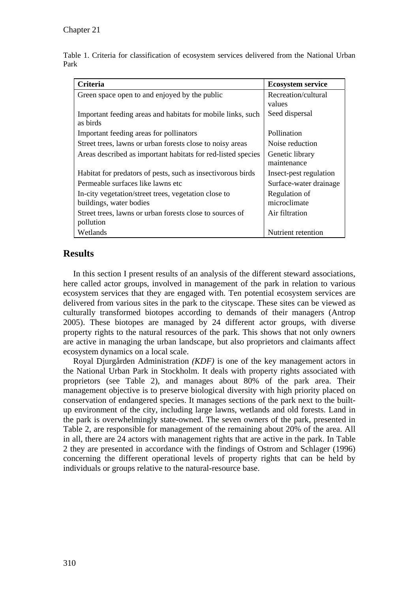Table 1. Criteria for classification of ecosystem services delivered from the National Urban Park

| Criteria                                                                        | <b>Ecosystem service</b>       |  |  |
|---------------------------------------------------------------------------------|--------------------------------|--|--|
| Green space open to and enjoyed by the public                                   | Recreation/cultural<br>values  |  |  |
| Important feeding areas and habitats for mobile links, such<br>as birds         | Seed dispersal                 |  |  |
| Important feeding areas for pollinators                                         | Pollination                    |  |  |
| Street trees, lawns or urban forests close to noisy areas                       | Noise reduction                |  |  |
| Areas described as important habitats for red-listed species                    | Genetic library<br>maintenance |  |  |
| Habitat for predators of pests, such as insectivorous birds                     | Insect-pest regulation         |  |  |
| Permeable surfaces like lawns etc                                               | Surface-water drainage         |  |  |
| In-city vegetation/street trees, vegetation close to<br>buildings, water bodies | Regulation of<br>microclimate  |  |  |
| Street trees, lawns or urban forests close to sources of<br>pollution           | Air filtration                 |  |  |
| Wetlands                                                                        | Nutrient retention             |  |  |

# **Results**

In this section I present results of an analysis of the different steward associations, here called actor groups, involved in management of the park in relation to various ecosystem services that they are engaged with. Ten potential ecosystem services are delivered from various sites in the park to the cityscape. These sites can be viewed as culturally transformed biotopes according to demands of their managers (Antrop 2005). These biotopes are managed by 24 different actor groups, with diverse property rights to the natural resources of the park. This shows that not only owners are active in managing the urban landscape, but also proprietors and claimants affect ecosystem dynamics on a local scale.

Royal Djurgården Administration *(KDF)* is one of the key management actors in the National Urban Park in Stockholm. It deals with property rights associated with proprietors (see Table 2), and manages about 80% of the park area. Their management objective is to preserve biological diversity with high priority placed on conservation of endangered species. It manages sections of the park next to the builtup environment of the city, including large lawns, wetlands and old forests. Land in the park is overwhelmingly state-owned. The seven owners of the park, presented in Table 2, are responsible for management of the remaining about 20% of the area. All in all, there are 24 actors with management rights that are active in the park. In Table 2 they are presented in accordance with the findings of Ostrom and Schlager (1996) concerning the different operational levels of property rights that can be held by individuals or groups relative to the natural-resource base.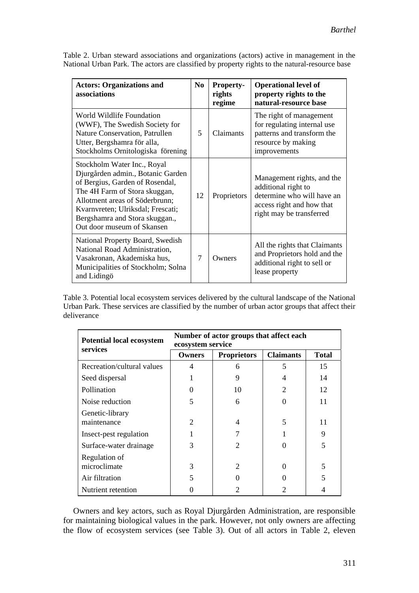| <b>Actors: Organizations and</b><br>associations                                                                                                                                                                                                                            | N <sub>0</sub> | <b>Property-</b><br>rights<br>regime | <b>Operational level of</b><br>property rights to the<br>natural-resource base                                                           |
|-----------------------------------------------------------------------------------------------------------------------------------------------------------------------------------------------------------------------------------------------------------------------------|----------------|--------------------------------------|------------------------------------------------------------------------------------------------------------------------------------------|
| World Wildlife Foundation<br>(WWF), The Swedish Society for<br>Nature Conservation, Patrullen<br>Utter, Bergshamra för alla,<br>Stockholms Ornitologiska förening                                                                                                           | 5              | Claimants                            | The right of management<br>for regulating internal use<br>patterns and transform the<br>resource by making<br>improvements               |
| Stockholm Water Inc., Royal<br>Djurgården admin., Botanic Garden<br>of Bergius, Garden of Rosendal,<br>The 4H Farm of Stora skuggan,<br>Allotment areas of Söderbrunn;<br>Kvarnvreten; Ulriksdal; Frescati;<br>Bergshamra and Stora skuggan.,<br>Out door museum of Skansen | 12             | Proprietors                          | Management rights, and the<br>additional right to<br>determine who will have an<br>access right and how that<br>right may be transferred |
| National Property Board, Swedish<br>National Road Administration,<br>Vasakronan, Akademiska hus,<br>Municipalities of Stockholm; Solna<br>and Lidingö                                                                                                                       | 7              | Owners                               | All the rights that Claimants<br>and Proprietors hold and the<br>additional right to sell or<br>lease property                           |

Table 2. Urban steward associations and organizations (actors) active in management in the National Urban Park. The actors are classified by property rights to the natural-resource base

Table 3. Potential local ecosystem services delivered by the cultural landscape of the National Urban Park. These services are classified by the number of urban actor groups that affect their deliverance

| <b>Potential local ecosystem</b> | Number of actor groups that affect each<br>ecosystem service |                    |                  |              |  |
|----------------------------------|--------------------------------------------------------------|--------------------|------------------|--------------|--|
| services                         | <b>Owners</b>                                                | <b>Proprietors</b> | <b>Claimants</b> | <b>Total</b> |  |
| Recreation/cultural values       | 4                                                            | 6                  | 5                | 15           |  |
| Seed dispersal                   |                                                              | 9                  |                  | 14           |  |
| Pollination                      |                                                              | 10                 | $\mathfrak{D}$   | 12           |  |
| Noise reduction                  | 5                                                            | 6                  |                  | 11           |  |
| Genetic-library<br>maintenance   | $\overline{c}$                                               | 4                  | 5                | 11           |  |
| Insect-pest regulation           |                                                              |                    |                  | 9            |  |
| Surface-water drainage           | 3                                                            | $\mathfrak{D}$     |                  | 5            |  |
| Regulation of<br>microclimate    | 3                                                            | $\mathfrak{D}$     |                  | 5            |  |
| Air filtration                   | 5                                                            |                    |                  |              |  |
| Nutrient retention               |                                                              |                    |                  |              |  |

Owners and key actors, such as Royal Djurgården Administration, are responsible for maintaining biological values in the park. However, not only owners are affecting the flow of ecosystem services (see Table 3). Out of all actors in Table 2, eleven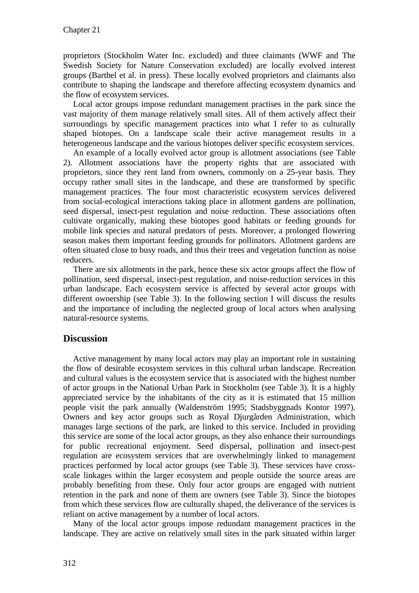proprietors (Stockholm Water Inc. excluded) and three claimants (WWF and The Swedish Society for Nature Conservation excluded) are locally evolved interest groups (Barthel et al. in press). These locally evolved proprietors and claimants also contribute to shaping the landscape and therefore affecting ecosystem dynamics and the flow of ecosystem services.

Local actor groups impose redundant management practises in the park since the vast majority of them manage relatively small sites. All of them actively affect their surroundings by specific management practices into what I refer to as culturally shaped biotopes. On a landscape scale their active management results in a heterogeneous landscape and the various biotopes deliver specific ecosystem services.

An example of a locally evolved actor group is allotment associations (see Table 2). Allotment associations have the property rights that are associated with proprietors, since they rent land from owners, commonly on a 25-year basis. They occupy rather small sites in the landscape, and these are transformed by specific management practices. The four most characteristic ecosystem services delivered from social-ecological interactions taking place in allotment gardens are pollination, seed dispersal, insect-pest regulation and noise reduction. These associations often cultivate organically, making these biotopes good habitats or feeding grounds for mobile link species and natural predators of pests. Moreover, a prolonged flowering season makes them important feeding grounds for pollinators. Allotment gardens are often situated close to busy roads, and thus their trees and vegetation function as noise reducers.

There are six allotments in the park, hence these six actor groups affect the flow of pollination, seed dispersal, insect-pest regulation, and noise-reduction services in this urban landscape. Each ecosystem service is affected by several actor groups with different ownership (see Table 3). In the following section I will discuss the results and the importance of including the neglected group of local actors when analysing natural-resource systems.

# **Discussion**

Active management by many local actors may play an important role in sustaining the flow of desirable ecosystem services in this cultural urban landscape. Recreation and cultural values is the ecosystem service that is associated with the highest number of actor groups in the National Urban Park in Stockholm (see Table 3). It is a highly appreciated service by the inhabitants of the city as it is estimated that 15 million people visit the park annually (Waldenström 1995; Stadsbyggnads Kontor 1997). Owners and key actor groups such as Royal Djurgården Administration, which manages large sections of the park, are linked to this service. Included in providing this service are some of the local actor groups, as they also enhance their surroundings for public recreational enjoyment. Seed dispersal, pollination and insect-pest regulation are ecosystem services that are overwhelmingly linked to management practices performed by local actor groups (see Table 3). These services have crossscale linkages within the larger ecosystem and people outside the source areas are probably benefiting from these. Only four actor groups are engaged with nutrient retention in the park and none of them are owners (see Table 3). Since the biotopes from which these services flow are culturally shaped, the deliverance of the services is reliant on active management by a number of local actors.

Many of the local actor groups impose redundant management practices in the landscape. They are active on relatively small sites in the park situated within larger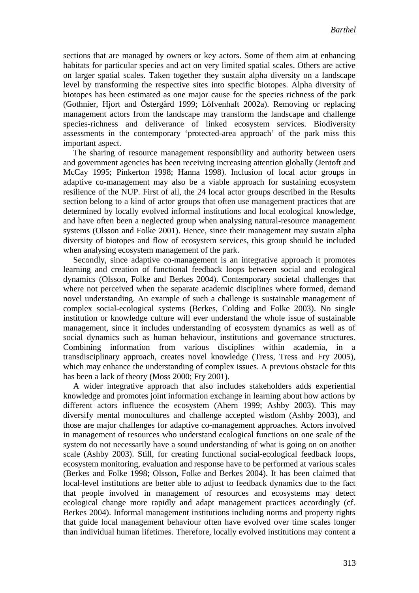sections that are managed by owners or key actors. Some of them aim at enhancing habitats for particular species and act on very limited spatial scales. Others are active on larger spatial scales. Taken together they sustain alpha diversity on a landscape level by transforming the respective sites into specific biotopes. Alpha diversity of biotopes has been estimated as one major cause for the species richness of the park (Gothnier, Hjort and Östergård 1999; Löfvenhaft 2002a). Removing or replacing management actors from the landscape may transform the landscape and challenge species-richness and deliverance of linked ecosystem services. Biodiversity assessments in the contemporary 'protected-area approach' of the park miss this important aspect.

The sharing of resource management responsibility and authority between users and government agencies has been receiving increasing attention globally (Jentoft and McCay 1995; Pinkerton 1998; Hanna 1998). Inclusion of local actor groups in adaptive co-management may also be a viable approach for sustaining ecosystem resilience of the NUP. First of all, the 24 local actor groups described in the Results section belong to a kind of actor groups that often use management practices that are determined by locally evolved informal institutions and local ecological knowledge, and have often been a neglected group when analysing natural-resource management systems (Olsson and Folke 2001). Hence, since their management may sustain alpha diversity of biotopes and flow of ecosystem services, this group should be included when analysing ecosystem management of the park.

Secondly, since adaptive co-management is an integrative approach it promotes learning and creation of functional feedback loops between social and ecological dynamics (Olsson, Folke and Berkes 2004). Contemporary societal challenges that where not perceived when the separate academic disciplines where formed, demand novel understanding. An example of such a challenge is sustainable management of complex social-ecological systems (Berkes, Colding and Folke 2003). No single institution or knowledge culture will ever understand the whole issue of sustainable management, since it includes understanding of ecosystem dynamics as well as of social dynamics such as human behaviour, institutions and governance structures. Combining information from various disciplines within academia, in a transdisciplinary approach, creates novel knowledge (Tress, Tress and Fry 2005), which may enhance the understanding of complex issues. A previous obstacle for this has been a lack of theory (Moss 2000; Fry 2001).

A wider integrative approach that also includes stakeholders adds experiential knowledge and promotes joint information exchange in learning about how actions by different actors influence the ecosystem (Ahern 1999; Ashby 2003). This may diversify mental monocultures and challenge accepted wisdom (Ashby 2003), and those are major challenges for adaptive co-management approaches. Actors involved in management of resources who understand ecological functions on one scale of the system do not necessarily have a sound understanding of what is going on on another scale (Ashby 2003). Still, for creating functional social-ecological feedback loops, ecosystem monitoring, evaluation and response have to be performed at various scales (Berkes and Folke 1998; Olsson, Folke and Berkes 2004). It has been claimed that local-level institutions are better able to adjust to feedback dynamics due to the fact that people involved in management of resources and ecosystems may detect ecological change more rapidly and adapt management practices accordingly (cf. Berkes 2004). Informal management institutions including norms and property rights that guide local management behaviour often have evolved over time scales longer than individual human lifetimes. Therefore, locally evolved institutions may content a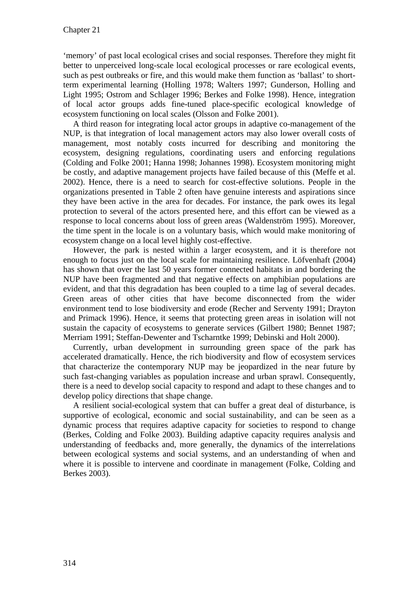'memory' of past local ecological crises and social responses. Therefore they might fit better to unperceived long-scale local ecological processes or rare ecological events, such as pest outbreaks or fire, and this would make them function as 'ballast' to shortterm experimental learning (Holling 1978; Walters 1997; Gunderson, Holling and Light 1995; Ostrom and Schlager 1996; Berkes and Folke 1998). Hence, integration of local actor groups adds fine-tuned place-specific ecological knowledge of ecosystem functioning on local scales (Olsson and Folke 2001).

A third reason for integrating local actor groups in adaptive co-management of the NUP, is that integration of local management actors may also lower overall costs of management, most notably costs incurred for describing and monitoring the ecosystem, designing regulations, coordinating users and enforcing regulations (Colding and Folke 2001; Hanna 1998; Johannes 1998). Ecosystem monitoring might be costly, and adaptive management projects have failed because of this (Meffe et al. 2002). Hence, there is a need to search for cost-effective solutions. People in the organizations presented in Table 2 often have genuine interests and aspirations since they have been active in the area for decades. For instance, the park owes its legal protection to several of the actors presented here, and this effort can be viewed as a response to local concerns about loss of green areas (Waldenström 1995). Moreover, the time spent in the locale is on a voluntary basis, which would make monitoring of ecosystem change on a local level highly cost-effective.

However, the park is nested within a larger ecosystem, and it is therefore not enough to focus just on the local scale for maintaining resilience. Löfvenhaft (2004) has shown that over the last 50 years former connected habitats in and bordering the NUP have been fragmented and that negative effects on amphibian populations are evident, and that this degradation has been coupled to a time lag of several decades. Green areas of other cities that have become disconnected from the wider environment tend to lose biodiversity and erode (Recher and Serventy 1991; Drayton and Primack 1996). Hence, it seems that protecting green areas in isolation will not sustain the capacity of ecosystems to generate services (Gilbert 1980; Bennet 1987; Merriam 1991; Steffan-Dewenter and Tscharntke 1999; Debinski and Holt 2000).

Currently, urban development in surrounding green space of the park has accelerated dramatically. Hence, the rich biodiversity and flow of ecosystem services that characterize the contemporary NUP may be jeopardized in the near future by such fast-changing variables as population increase and urban sprawl. Consequently, there is a need to develop social capacity to respond and adapt to these changes and to develop policy directions that shape change.

A resilient social-ecological system that can buffer a great deal of disturbance, is supportive of ecological, economic and social sustainability, and can be seen as a dynamic process that requires adaptive capacity for societies to respond to change (Berkes, Colding and Folke 2003). Building adaptive capacity requires analysis and understanding of feedbacks and, more generally, the dynamics of the interrelations between ecological systems and social systems, and an understanding of when and where it is possible to intervene and coordinate in management (Folke, Colding and Berkes 2003).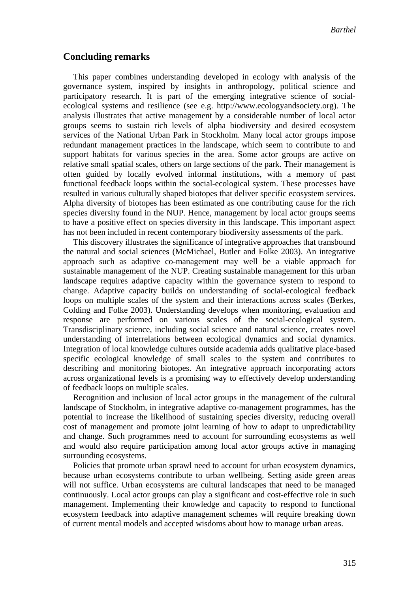#### **Concluding remarks**

This paper combines understanding developed in ecology with analysis of the governance system, inspired by insights in anthropology, political science and participatory research. It is part of the emerging integrative science of socialecological systems and resilience (see e.g. http://www.ecologyandsociety.org). The analysis illustrates that active management by a considerable number of local actor groups seems to sustain rich levels of alpha biodiversity and desired ecosystem services of the National Urban Park in Stockholm. Many local actor groups impose redundant management practices in the landscape, which seem to contribute to and support habitats for various species in the area. Some actor groups are active on relative small spatial scales, others on large sections of the park. Their management is often guided by locally evolved informal institutions, with a memory of past functional feedback loops within the social-ecological system. These processes have resulted in various culturally shaped biotopes that deliver specific ecosystem services. Alpha diversity of biotopes has been estimated as one contributing cause for the rich species diversity found in the NUP. Hence, management by local actor groups seems to have a positive effect on species diversity in this landscape. This important aspect has not been included in recent contemporary biodiversity assessments of the park.

This discovery illustrates the significance of integrative approaches that transbound the natural and social sciences (McMichael, Butler and Folke 2003). An integrative approach such as adaptive co-management may well be a viable approach for sustainable management of the NUP. Creating sustainable management for this urban landscape requires adaptive capacity within the governance system to respond to change. Adaptive capacity builds on understanding of social-ecological feedback loops on multiple scales of the system and their interactions across scales (Berkes, Colding and Folke 2003). Understanding develops when monitoring, evaluation and response are performed on various scales of the social-ecological system. Transdisciplinary science, including social science and natural science, creates novel understanding of interrelations between ecological dynamics and social dynamics. Integration of local knowledge cultures outside academia adds qualitative place-based specific ecological knowledge of small scales to the system and contributes to describing and monitoring biotopes. An integrative approach incorporating actors across organizational levels is a promising way to effectively develop understanding of feedback loops on multiple scales.

Recognition and inclusion of local actor groups in the management of the cultural landscape of Stockholm, in integrative adaptive co-management programmes, has the potential to increase the likelihood of sustaining species diversity, reducing overall cost of management and promote joint learning of how to adapt to unpredictability and change. Such programmes need to account for surrounding ecosystems as well and would also require participation among local actor groups active in managing surrounding ecosystems.

Policies that promote urban sprawl need to account for urban ecosystem dynamics, because urban ecosystems contribute to urban wellbeing. Setting aside green areas will not suffice. Urban ecosystems are cultural landscapes that need to be managed continuously. Local actor groups can play a significant and cost-effective role in such management. Implementing their knowledge and capacity to respond to functional ecosystem feedback into adaptive management schemes will require breaking down of current mental models and accepted wisdoms about how to manage urban areas.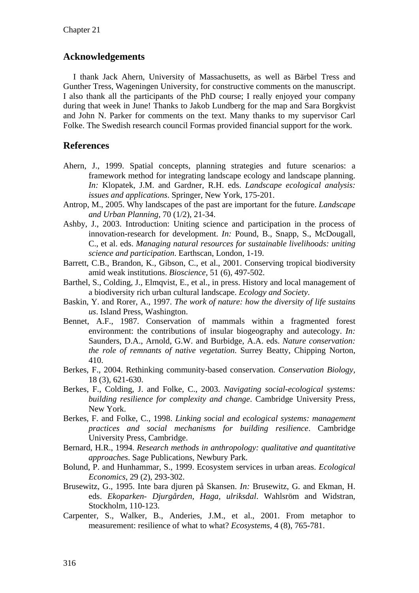#### **Acknowledgements**

I thank Jack Ahern, University of Massachusetts, as well as Bärbel Tress and Gunther Tress, Wageningen University, for constructive comments on the manuscript. I also thank all the participants of the PhD course; I really enjoyed your company during that week in June! Thanks to Jakob Lundberg for the map and Sara Borgkvist and John N. Parker for comments on the text. Many thanks to my supervisor Carl Folke. The Swedish research council Formas provided financial support for the work.

# **References**

- Ahern, J., 1999. Spatial concepts, planning strategies and future scenarios: a framework method for integrating landscape ecology and landscape planning. *In:* Klopatek, J.M. and Gardner, R.H. eds. *Landscape ecological analysis: issues and applications*. Springer, New York, 175-201.
- Antrop, M., 2005. Why landscapes of the past are important for the future. *Landscape and Urban Planning,* 70 (1/2), 21-34.
- Ashby, J., 2003. Introduction: Uniting science and participation in the process of innovation-research for development. *In:* Pound, B., Snapp, S., McDougall, C., et al. eds. *Managing natural resources for sustainable livelihoods: uniting science and participation*. Earthscan, London, 1-19.
- Barrett, C.B., Brandon, K., Gibson, C., et al., 2001. Conserving tropical biodiversity amid weak institutions. *Bioscience,* 51 (6), 497-502.
- Barthel, S., Colding, J., Elmqvist, E., et al., in press. History and local management of a biodiversity rich urban cultural landscape. *Ecology and Society*.
- Baskin, Y. and Rorer, A., 1997. *The work of nature: how the diversity of life sustains us*. Island Press, Washington.
- Bennet, A.F., 1987. Conservation of mammals within a fragmented forest environment: the contributions of insular biogeography and autecology. *In:* Saunders, D.A., Arnold, G.W. and Burbidge, A.A. eds. *Nature conservation: the role of remnants of native vegetation*. Surrey Beatty, Chipping Norton, 410.
- Berkes, F., 2004. Rethinking community-based conservation. *Conservation Biology,* 18 (3), 621-630.
- Berkes, F., Colding, J. and Folke, C., 2003. *Navigating social-ecological systems: building resilience for complexity and change*. Cambridge University Press, New York.
- Berkes, F. and Folke, C., 1998. *Linking social and ecological systems: management practices and social mechanisms for building resilience*. Cambridge University Press, Cambridge.
- Bernard, H.R., 1994. *Research methods in anthropology: qualitative and quantitative approaches*. Sage Publications, Newbury Park.
- Bolund, P. and Hunhammar, S., 1999. Ecosystem services in urban areas. *Ecological Economics,* 29 (2), 293-302.
- Brusewitz, G., 1995. Inte bara djuren på Skansen. *In:* Brusewitz, G. and Ekman, H. eds. *Ekoparken- Djurgården, Haga, ulriksdal*. Wahlsröm and Widstran, Stockholm, 110-123.
- Carpenter, S., Walker, B., Anderies, J.M., et al., 2001. From metaphor to measurement: resilience of what to what? *Ecosystems,* 4 (8), 765-781.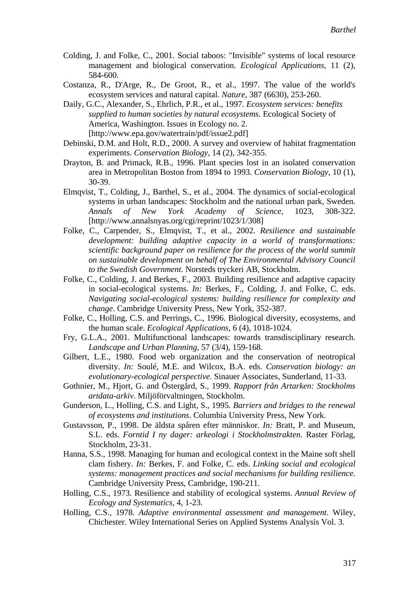- Colding, J. and Folke, C., 2001. Social taboos: "Invisible" systems of local resource management and biological conservation. *Ecological Applications,* 11 (2), 584-600.
- Costanza, R., D'Arge, R., De Groot, R., et al., 1997. The value of the world's ecosystem services and natural capital. *Nature,* 387 (6630), 253-260.
- Daily, G.C., Alexander, S., Ehrlich, P.R., et al., 1997. *Ecosystem services: benefits supplied to human societies by natural ecosystems*. Ecological Society of America, Washington. Issues in Ecology no. 2. [http://www.epa.gov/watertrain/pdf/issue2.pdf]
- Debinski, D.M. and Holt, R.D., 2000. A survey and overview of habitat fragmentation experiments. *Conservation Biology,* 14 (2), 342-355.
- Drayton, B. and Primack, R.B., 1996. Plant species lost in an isolated conservation area in Metropolitan Boston from 1894 to 1993. *Conservation Biology,* 10 (1), 30-39.
- Elmqvist, T., Colding, J., Barthel, S., et al., 2004. The dynamics of social-ecological systems in urban landscapes: Stockholm and the national urban park, Sweden. *Annals of New York Academy of Science,* 1023, 308-322. [http://www.annalsnyas.org/cgi/reprint/1023/1/308]
- Folke, C., Carpender, S., Elmqvist, T., et al., 2002. *Resilience and sustainable development: building adaptive capacity in a world of transformations: scientific background paper on resilience for the process of the world summit on sustainable development on behalf of The Environmental Advisory Council to the Swedish Government*. Norsteds tryckeri AB, Stockholm.
- Folke, C., Colding, J. and Berkes, F., 2003. Building resilience and adaptive capacity in social-ecological systems. *In:* Berkes, F., Colding, J. and Folke, C. eds. *Navigating social-ecological systems: building resilience for complexity and change*. Cambridge University Press, New York, 352-387.
- Folke, C., Holling, C.S. and Perrings, C., 1996. Biological diversity, ecosystems, and the human scale. *Ecological Applications,* 6 (4), 1018-1024.
- Fry, G.L.A., 2001. Multifunctional landscapes: towards transdisciplinary research. *Landscape and Urban Planning,* 57 (3/4), 159-168.
- Gilbert, L.E., 1980. Food web organization and the conservation of neotropical diversity. *In:* Soulé, M.E. and Wilcox, B.A. eds. *Conservation biology: an evolutionary-ecological perspective*. Sinauer Associates, Sunderland, 11-33.
- Gothnier, M., Hjort, G. and Östergård, S., 1999. *Rapport från Artarken: Stockholms artdata-arkiv*. Miljöförvaltningen, Stockholm.
- Gunderson, L., Holling, C.S. and Light, S., 1995. *Barriers and bridges to the renewal of ecosystems and institutions*. Columbia University Press, New York.
- Gustavsson, P., 1998. De äldsta spåren efter människor. *In:* Bratt, P. and Museum, S.L. eds. *Forntid I ny dager: arkeologi i Stockholmstrakten*. Raster Förlag, Stockholm, 23-31.
- Hanna, S.S., 1998. Managing for human and ecological context in the Maine soft shell clam fishery. *In:* Berkes, F. and Folke, C. eds. *Linking social and ecological systems: management practices and social mechanisms for building resilience*. Cambridge University Press, Cambridge, 190-211.
- Holling, C.S., 1973. Resilience and stability of ecological systems. *Annual Review of Ecology and Systematics,* 4, 1-23.
- Holling, C.S., 1978. *Adaptive environmental assessment and management*. Wiley, Chichester. Wiley International Series on Applied Systems Analysis Vol. 3.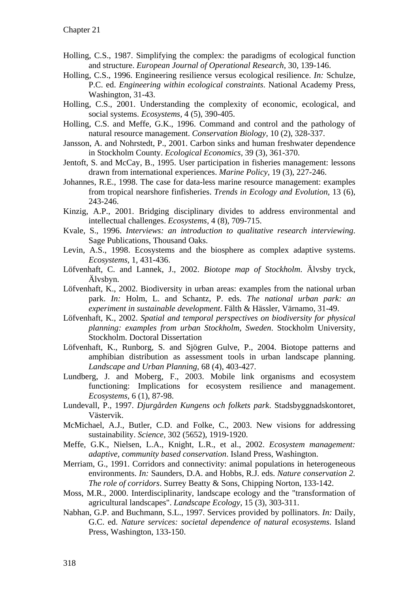- Holling, C.S., 1987. Simplifying the complex: the paradigms of ecological function and structure. *European Journal of Operational Research,* 30, 139-146.
- Holling, C.S., 1996. Engineering resilience versus ecological resilience. *In:* Schulze, P.C. ed. *Engineering within ecological constraints*. National Academy Press, Washington, 31-43.
- Holling, C.S., 2001. Understanding the complexity of economic, ecological, and social systems. *Ecosystems,* 4 (5), 390-405.
- Holling, C.S. and Meffe, G.K., 1996. Command and control and the pathology of natural resource management. *Conservation Biology,* 10 (2), 328-337.
- Jansson, A. and Nohrstedt, P., 2001. Carbon sinks and human freshwater dependence in Stockholm County. *Ecological Economics,* 39 (3), 361-370.
- Jentoft, S. and McCay, B., 1995. User participation in fisheries management: lessons drawn from international experiences. *Marine Policy,* 19 (3), 227-246.
- Johannes, R.E., 1998. The case for data-less marine resource management: examples from tropical nearshore finfisheries. *Trends in Ecology and Evolution,* 13 (6), 243-246.
- Kinzig, A.P., 2001. Bridging disciplinary divides to address environmental and intellectual challenges. *Ecosystems,* 4 (8), 709-715.
- Kvale, S., 1996. *Interviews: an introduction to qualitative research interviewing*. Sage Publications, Thousand Oaks.
- Levin, A.S., 1998. Ecosystems and the biosphere as complex adaptive systems. *Ecosystems,* 1, 431-436.
- Löfvenhaft, C. and Lannek, J., 2002. *Biotope map of Stockholm*. Älvsby tryck, Älvsbyn.
- Löfvenhaft, K., 2002. Biodiversity in urban areas: examples from the national urban park. *In:* Holm, L. and Schantz, P. eds. *The national urban park: an experiment in sustainable development*. Fälth & Hässler, Värnamo, 31-49.
- Löfvenhaft, K., 2002. *Spatial and temporal perspectives on biodiversity for physical planning: examples from urban Stockholm, Sweden*. Stockholm University, Stockholm. Doctoral Dissertation
- Löfvenhaft, K., Runborg, S. and Sjögren Gulve, P., 2004. Biotope patterns and amphibian distribution as assessment tools in urban landscape planning. *Landscape and Urban Planning,* 68 (4), 403-427.
- Lundberg, J. and Moberg, F., 2003. Mobile link organisms and ecosystem functioning: Implications for ecosystem resilience and management. *Ecosystems,* 6 (1), 87-98.
- Lundevall, P., 1997. *Djurgården Kungens och folkets park*. Stadsbyggnadskontoret, Västervik.
- McMichael, A.J., Butler, C.D. and Folke, C., 2003. New visions for addressing sustainability. *Science,* 302 (5652), 1919-1920.
- Meffe, G.K., Nielsen, L.A., Knight, L.R., et al., 2002. *Ecosystem management: adaptive, community based conservation*. Island Press, Washington.
- Merriam, G., 1991. Corridors and connectivity: animal populations in heterogeneous environments. *In:* Saunders, D.A. and Hobbs, R.J. eds. *Nature conservation 2. The role of corridors*. Surrey Beatty & Sons, Chipping Norton, 133-142.
- Moss, M.R., 2000. Interdisciplinarity, landscape ecology and the "transformation of agricultural landscapes". *Landscape Ecology,* 15 (3), 303-311.
- Nabhan, G.P. and Buchmann, S.L., 1997. Services provided by pollinators. *In:* Daily, G.C. ed. *Nature services: societal dependence of natural ecosystems*. Island Press, Washington, 133-150.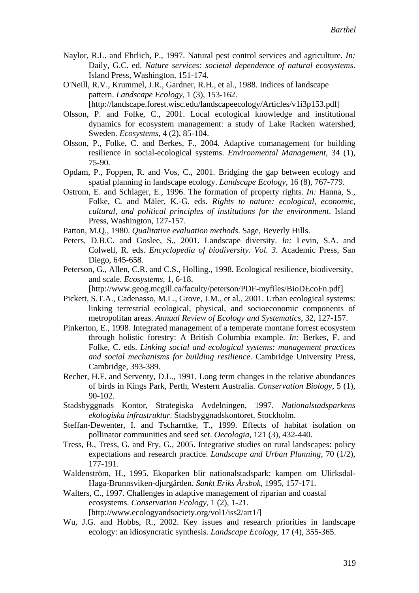- Naylor, R.L. and Ehrlich, P., 1997. Natural pest control services and agriculture. *In:* Daily, G.C. ed. *Nature services: societal dependence of natural ecosystems*. Island Press, Washington, 151-174.
- O'Neill, R.V., Krummel, J.R., Gardner, R.H., et al., 1988. Indices of landscape pattern. *Landscape Ecology,* 1 (3), 153-162. [http://landscape.forest.wisc.edu/landscapeecology/Articles/v1i3p153.pdf]
- Olsson, P. and Folke, C., 2001. Local ecological knowledge and institutional dynamics for ecosystem management: a study of Lake Racken watershed, Sweden. *Ecosystems,* 4 (2), 85-104.
- Olsson, P., Folke, C. and Berkes, F., 2004. Adaptive comanagement for building resilience in social-ecological systems. *Environmental Management,* 34 (1), 75-90.
- Opdam, P., Foppen, R. and Vos, C., 2001. Bridging the gap between ecology and spatial planning in landscape ecology. *Landscape Ecology,* 16 (8), 767-779.
- Ostrom, E. and Schlager, E., 1996. The formation of property rights. *In:* Hanna, S., Folke, C. and Mäler, K.-G. eds. *Rights to nature: ecological, economic, cultural, and political principles of institutions for the environment*. Island Press, Washington, 127-157.
- Patton, M.Q., 1980. *Qualitative evaluation methods*. Sage, Beverly Hills.
- Peters, D.B.C. and Goslee, S., 2001. Landscape diversity. *In:* Levin, S.A. and Colwell, R. eds. *Encyclopedia of biodiversity. Vol. 3*. Academic Press, San Diego, 645-658.
- Peterson, G., Allen, C.R. and C.S., Holling., 1998. Ecological resilience, biodiversity, and scale. *Ecosystems,* 1, 6-18.

[http://www.geog.mcgill.ca/faculty/peterson/PDF-myfiles/BioDEcoFn.pdf]

- Pickett, S.T.A., Cadenasso, M.L., Grove, J.M., et al., 2001. Urban ecological systems: linking terrestrial ecological, physical, and socioeconomic components of metropolitan areas. *Annual Review of Ecology and Systematics,* 32, 127-157.
- Pinkerton, E., 1998. Integrated management of a temperate montane forrest ecosystem through holistic forestry: A British Columbia example. *In:* Berkes, F. and Folke, C. eds. *Linking social and ecological systems: management practices and social mechanisms for building resilience*. Cambridge University Press, Cambridge, 393-389.
- Recher, H.F. and Serventy, D.L., 1991. Long term changes in the relative abundances of birds in Kings Park, Perth, Western Australia. *Conservation Biology,* 5 (1), 90-102.
- Stadsbyggnads Kontor, Strategiska Avdelningen, 1997. *Nationalstadsparkens ekologiska infrastruktur*. Stadsbyggnadskontoret, Stockholm.
- Steffan-Dewenter, I. and Tscharntke, T., 1999. Effects of habitat isolation on pollinator communities and seed set. *Oecologia,* 121 (3), 432-440.
- Tress, B., Tress, G. and Fry, G., 2005. Integrative studies on rural landscapes: policy expectations and research practice. *Landscape and Urban Planning,* 70 (1/2), 177-191.
- Waldenström, H., 1995. Ekoparken blir nationalstadspark: kampen om Ulirksdal-Haga-Brunnsviken-djurgården. *Sankt Eriks Årsbok,* 1995, 157-171.
- Walters, C., 1997. Challenges in adaptive management of riparian and coastal ecosystems. *Conservation Ecology,* 1 (2), 1-21. [http://www.ecologyandsociety.org/vol1/iss2/art1/]
- Wu, J.G. and Hobbs, R., 2002. Key issues and research priorities in landscape ecology: an idiosyncratic synthesis. *Landscape Ecology,* 17 (4), 355-365.